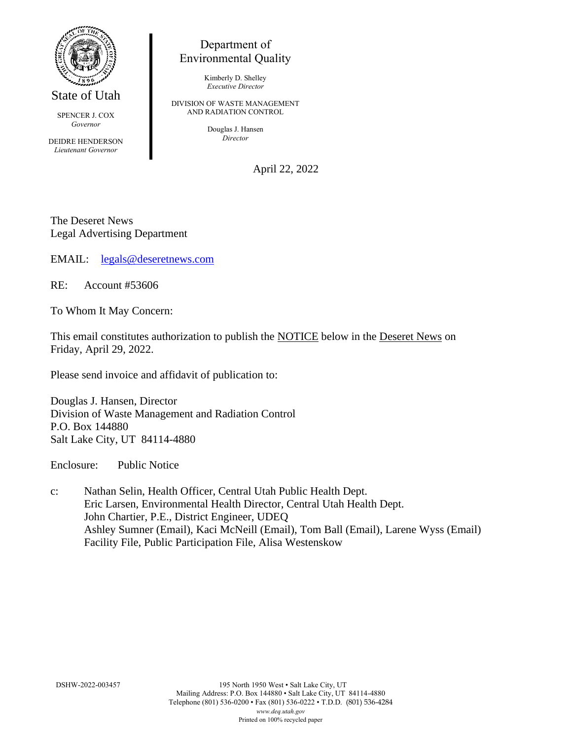

State of Utah

SPENCER J. COX *Governor*

DEIDRE HENDERSON *Lieutenant Governor*

# Department of Environmental Quality

Kimberly D. Shelley *Executive Director*

DIVISION OF WASTE MANAGEMENT AND RADIATION CONTROL

> Douglas J. Hansen *Director*

> > April 22, 2022

The Deseret News Legal Advertising Department

EMAIL: [legals@deseretnews.com](mailto:legals@deseretnews.com)

RE: Account #53606

To Whom It May Concern:

This email constitutes authorization to publish the NOTICE below in the Deseret News on Friday, April 29, 2022.

Please send invoice and affidavit of publication to:

Douglas J. Hansen, Director Division of Waste Management and Radiation Control P.O. Box 144880 Salt Lake City, UT 84114-4880

Enclosure: Public Notice

c: Nathan Selin, Health Officer, Central Utah Public Health Dept. Eric Larsen, Environmental Health Director, Central Utah Health Dept. John Chartier, P.E., District Engineer, UDEQ Ashley Sumner (Email), Kaci McNeill (Email), Tom Ball (Email), Larene Wyss (Email) Facility File, Public Participation File, Alisa Westenskow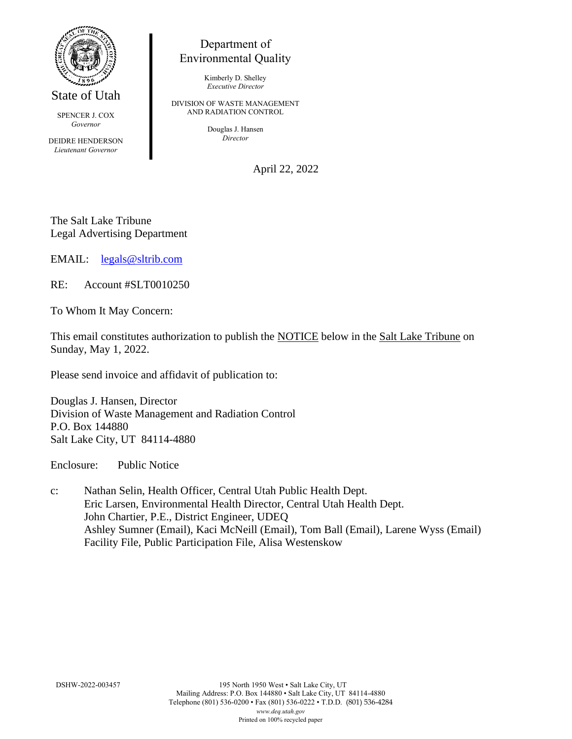

State of Utah

SPENCER J. COX *Governor*

DEIDRE HENDERSON *Lieutenant Governor*

# Department of Environmental Quality

Kimberly D. Shelley *Executive Director*

DIVISION OF WASTE MANAGEMENT AND RADIATION CONTROL

> Douglas J. Hansen *Director*

> > April 22, 2022

The Salt Lake Tribune Legal Advertising Department

EMAIL: [legals@sltrib.com](mailto:legals@sltrib.com)

RE: Account #SLT0010250

To Whom It May Concern:

This email constitutes authorization to publish the NOTICE below in the Salt Lake Tribune on Sunday, May 1, 2022.

Please send invoice and affidavit of publication to:

Douglas J. Hansen, Director Division of Waste Management and Radiation Control P.O. Box 144880 Salt Lake City, UT 84114-4880

Enclosure: Public Notice

c: Nathan Selin, Health Officer, Central Utah Public Health Dept. Eric Larsen, Environmental Health Director, Central Utah Health Dept. John Chartier, P.E., District Engineer, UDEQ Ashley Sumner (Email), Kaci McNeill (Email), Tom Ball (Email), Larene Wyss (Email) Facility File, Public Participation File, Alisa Westenskow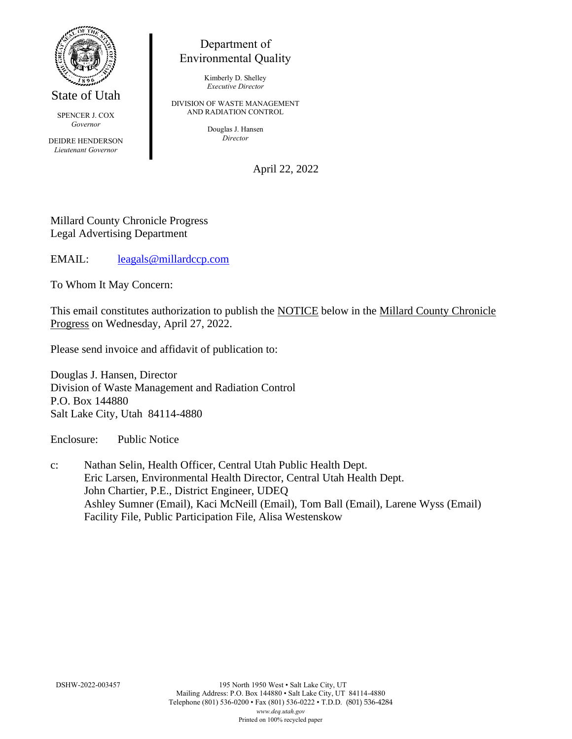

State of Utah

SPENCER J. COX *Governor*

DEIDRE HENDERSON *Lieutenant Governor*

# Department of Environmental Quality

Kimberly D. Shelley *Executive Director*

DIVISION OF WASTE MANAGEMENT AND RADIATION CONTROL

> Douglas J. Hansen *Director*

> > April 22, 2022

#### Millard County Chronicle Progress Legal Advertising Department

EMAIL: [leagals@millardccp.com](mailto:leagals@millardccp.com)

To Whom It May Concern:

This email constitutes authorization to publish the NOTICE below in the Millard County Chronicle Progress on Wednesday, April 27, 2022.

Please send invoice and affidavit of publication to:

Douglas J. Hansen, Director Division of Waste Management and Radiation Control P.O. Box 144880 Salt Lake City, Utah 84114-4880

Enclosure: Public Notice

c: Nathan Selin, Health Officer, Central Utah Public Health Dept. Eric Larsen, Environmental Health Director, Central Utah Health Dept. John Chartier, P.E., District Engineer, UDEQ Ashley Sumner (Email), Kaci McNeill (Email), Tom Ball (Email), Larene Wyss (Email) Facility File, Public Participation File, Alisa Westenskow